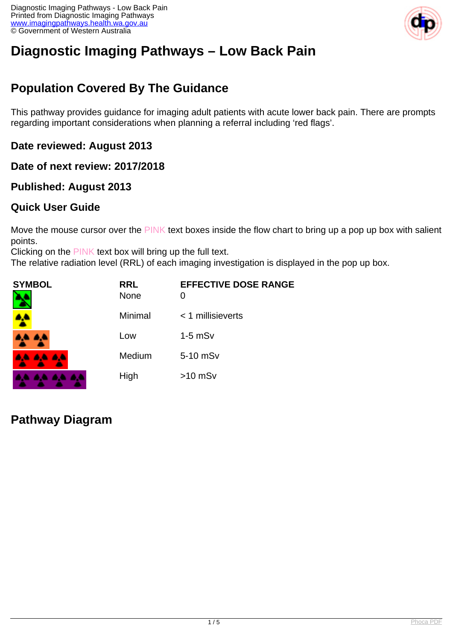

# **Diagnostic Imaging Pathways – Low Back Pain**

## **Population Covered By The Guidance**

This pathway provides guidance for imaging adult patients with acute lower back pain. There are prompts regarding important considerations when planning a referral including 'red flags'.

**Date reviewed: August 2013**

**Date of next review: 2017/2018**

### **Published: August 2013**

### **Quick User Guide**

Move the mouse cursor over the PINK text boxes inside the flow chart to bring up a pop up box with salient points.

Clicking on the PINK text box will bring up the full text.

The relative radiation level (RRL) of each imaging investigation is displayed in the pop up box.

| SYMBOL   | <b>RRL</b><br><b>None</b> | <b>EFFECTIVE DOSE RANGE</b> |
|----------|---------------------------|-----------------------------|
| 4        | Minimal                   | $<$ 1 millisieverts         |
| 4,4 4,4  | Low                       | $1-5$ mSv                   |
| AA AA AA | Medium                    | 5-10 mSv                    |
|          | High                      | $>10$ mSv                   |

**Pathway Diagram**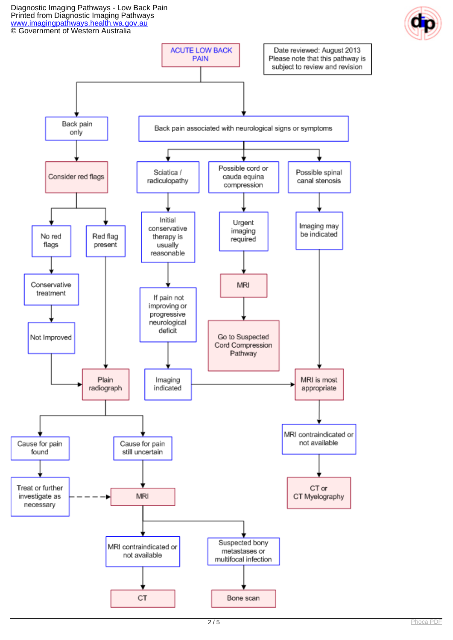Diagnostic Imaging Pathways - Low Back Pain Printed from Diagnostic Imaging Pathways [www.imagingpathways.health.wa.gov.au](http://www.imagingpathways.health.wa.gov.au/) © Government of Western Australia



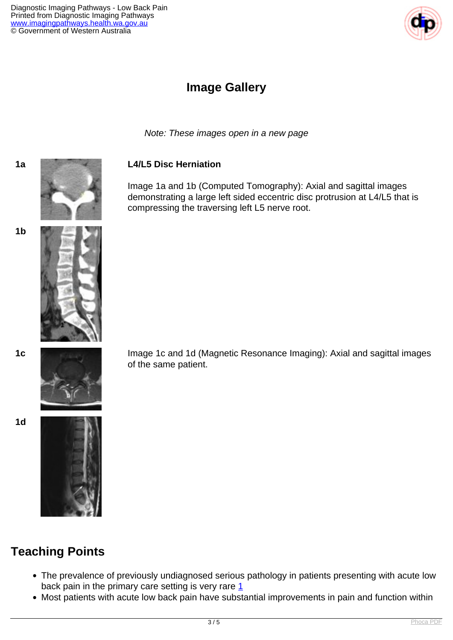

### **Image Gallery**

Note: These images open in a new page

#### **1a L4/L5 Disc Herniation**

Image 1a and 1b (Computed Tomography): Axial and sagittal images demonstrating a large left sided eccentric disc protrusion at L4/L5 that is compressing the traversing left L5 nerve root.





**1c** Image 1c and 1d (Magnetic Resonance Imaging): Axial and sagittal images of the same patient.

**1d**

**1b**



## **Teaching Points**

- The prevalence of previously undiagnosed serious pathology in patients presenting with acute low back pain in the primary care setting is very rare  $1$
- Most patients with acute low back pain have substantial improvements in pain and function within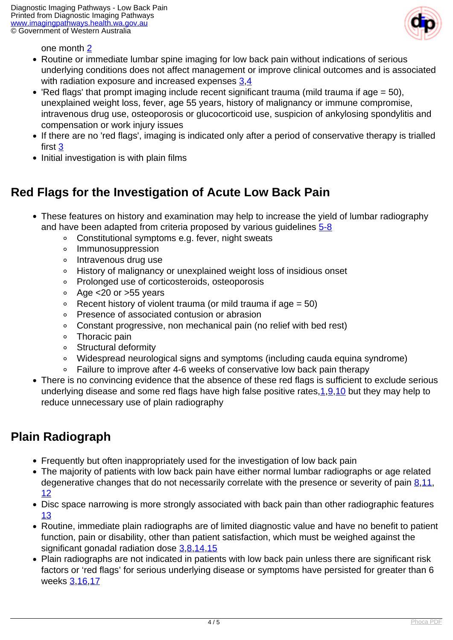

one month [2](index.php/imaging-pathways/musculoskeletal-trauma/musculoskeletal/low-back-pain?tab=references#2)

- Routine or immediate lumbar spine imaging for low back pain without indications of serious underlying conditions does not affect management or improve clinical outcomes and is associated with radiation exposure and increased expenses [3](index.php/imaging-pathways/musculoskeletal-trauma/musculoskeletal/low-back-pain?tab=references#3).4
- $\bullet$  'Red flags' that prompt imaging include recent significant trauma (mild trauma if age = 50), unexplained weight loss, fever, age 55 years, history of malignancy or immune compromise, intravenous drug use, osteoporosis or glucocorticoid use, suspicion of ankylosing spondylitis and compensation or work injury issues
- If there are no 'red flags', imaging is indicated only after a period of conservative therapy is trialled first [3](index.php/imaging-pathways/musculoskeletal-trauma/musculoskeletal/low-back-pain?tab=references#3)
- Initial investigation is with plain films

### **Red Flags for the Investigation of Acute Low Back Pain**

- These features on history and examination may help to increase the yield of lumbar radiography and have been adapted from criteria proposed by various guidelines [5-8](index.php/imaging-pathways/musculoskeletal-trauma/musculoskeletal/low-back-pain?tab=references#5)
	- Constitutional symptoms e.g. fever, night sweats
	- Immunosuppression  $\circ$
	- Intravenous drug use  $\circ$
	- History of malignancy or unexplained weight loss of insidious onset  $\circ$
	- Prolonged use of corticosteroids, osteoporosis  $\circ$
	- Age <20 or >55 years  $\circ$
	- Recent history of violent trauma (or mild trauma if age  $= 50$ )  $\circ$
	- Presence of associated contusion or abrasion
	- Constant progressive, non mechanical pain (no relief with bed rest)  $\circ$
	- Thoracic pain  $\circ$
	- **Structural deformity**
	- Widespread neurological signs and symptoms (including cauda equina syndrome)  $\circ$
	- $\circ$ Failure to improve after 4-6 weeks of conservative low back pain therapy
- There is no convincing evidence that the absence of these red flags is sufficient to exclude serious underlying disease and some red flags have high false positive rates,  $1,9,10$  $1,9,10$  $1,9,10$  but they may help to reduce unnecessary use of plain radiography

### **Plain Radiograph**

- Frequently but often inappropriately used for the investigation of low back pain
- The majority of patients with low back pain have either normal lumbar radiographs or age related degenerative changes that do not necessarily correlate with the presence or severity of pain  $8,11$ , [12](index.php/imaging-pathways/musculoskeletal-trauma/musculoskeletal/low-back-pain?tab=references#12)
- Disc space narrowing is more strongly associated with back pain than other radiographic features [13](index.php/imaging-pathways/musculoskeletal-trauma/musculoskeletal/low-back-pain?tab=references#13)
- Routine, immediate plain radiographs are of limited diagnostic value and have no benefit to patient function, pain or disability, other than patient satisfaction, which must be weighed against the significant gonadal radiation dose [3](index.php/imaging-pathways/musculoskeletal-trauma/musculoskeletal/low-back-pain?tab=references#3),[8](index.php/imaging-pathways/musculoskeletal-trauma/musculoskeletal/low-back-pain?tab=references#8),[14](index.php/imaging-pathways/musculoskeletal-trauma/musculoskeletal/low-back-pain?tab=references#14)[,15](index.php/imaging-pathways/musculoskeletal-trauma/musculoskeletal/low-back-pain?tab=references#15)
- Plain radiographs are not indicated in patients with low back pain unless there are significant risk factors or 'red flags' for serious underlying disease or symptoms have persisted for greater than 6 weeks [3](index.php/imaging-pathways/musculoskeletal-trauma/musculoskeletal/low-back-pain?tab=references#3),[16](index.php/imaging-pathways/musculoskeletal-trauma/musculoskeletal/low-back-pain?tab=references#16)[,17](index.php/imaging-pathways/musculoskeletal-trauma/musculoskeletal/low-back-pain?tab=references#17)